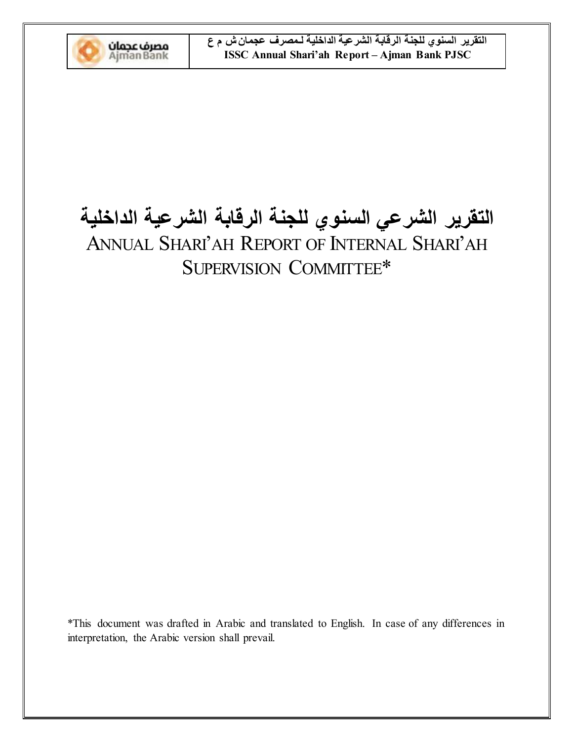

# التقرير الشرعي السنوي للجنة الرقابة الشرعية الداخلية ANNUAL SHARI'AH REPORT OF INTERNAL SHARI'AH SUPERVISION COMMITTEE\*

\*This document was drafted in Arabic and translated to English. In case of any differences in interpretation, the Arabic version shall prevail.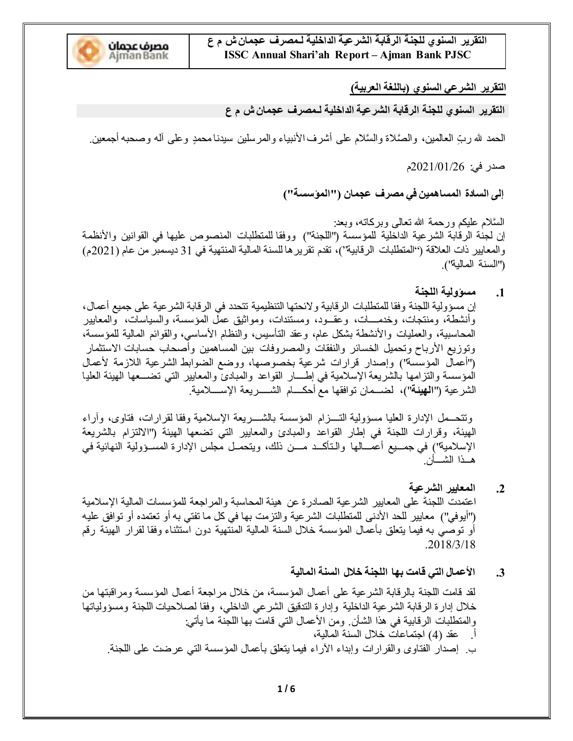

التقرير السنوى للجنة الرقابة الشرعية الداخلية لـمصرف عجما*ن ش* م ع **ISSC Annual Shari'ah Report - Ajman Bank PJSC** 

# التقرير الشرعي السنوي (باللغة العربية*)*

التقرير السنوي للجنة الرقابة الشرعية الداخلية لـمصرف عجمان ش م ع

الحمد لله ربِّ العالمين، والصَّلاة والسَّلام على أشرف الأنبياء والمرسلين سيدنـامحمدٍ وعلى أله وصحبه أجمعين.

صدر في: 2021/01/26م

إلى السادة المساهمين في مصرف عجمان ("المؤسسة")

السَّلام عليكم ورحمة الله نعالى وبركاته، وبعد: إن لجنة الرقابة الشرعية الداخلية للمؤسسة ("اللجنة") ووفقا للمنطلبات المنصوص عليها في القوانين والأنظمة والمعايير ذات العلاقة ("المتطلبات الرقابية")، تقدم تقرير ها للسنة المالية المنتهية في 31 ديسمبر من عام (2021م) ("السنة المالبة").

1. مسورولية اللجنة

إن مسؤولية اللجنة وفقا للمتطلبات الرقابية ولائحتها التنظيمية تتحدد في الرقابة الشرعية على جميع أعمال، وأنشطة، ومنتجات، وخدمسات، وعقسود، ومستندات، ومواثبق عمل المؤسسة، والسياسات، والمعابير المحاسبية، والعمليات والأنشطة بشكل عام، وعقد التأسيس، والنظام الأساسي، والقوائم المالية للمؤسسة، وتوزيع الأرباح وتحميل الخسائر والنفقات والمصروفات بين المساهمين وأصحاب حسابات الاستثمار ("أعمال المؤسسة") وإصدار قرارات شرعية بخصوصها، ووضع الضوابط الشرعية اللازمة لأعمال المؤسسة والتزامها بالشريعة الإسلامية في إطسار القواعد والمبادئ والمعابير التي تضسعها الهيئة العليا الشرعية ("ا**لـهيئة**")، لضــمان توافقها مع أحكــــام الشـــــريعة الإســــلامية<sub>.</sub>

وتتحسمل الإدارة العليا مسؤولية التسـزام المؤسسة بالشسـريعة الإسلامية وفقا لقرارات، فتاوى، وأراء المهيئة، وقرارات اللجنة في إطار القواعد والمعبادئ والمعايير التي تضعها الهيئة ("الالتزام بالشريعة الإسلامية'') في جمــيع أعمـــالها والـتأكــد مـــن ذلك، ويتحمــل مجلس الإدارة المســؤولية النهائية في هــذا الشـــأن

- 2. المعايير الشرعية اعتمدت اللجنةَ على المعايير الشرعية الصـادرة عن هيئة المحاسبة والمراجعة للمؤسسات المالية الإسلامية ("أيوفي") معايير للحد الأدنى للمنطلبات الشرعية والنزمت بها في كل ما نفتي به أو نعتمده أو نوافق عليه أو نوصبي به فيما ينعلق بأعمال المؤسسة خلال السنة المالية المنتهية دون استثناء وفقا لقرار الهيئة رقم  $.2018/3/18$ 
	- 3. الأعمال التي قامت بها اللجنة خلال السنة المالية

لقد قامت اللجنة بالرقابة الشرعية على أعمال المؤسسة، من خلال مراجعة أعمال المؤسسة ومراقبتها من خلال إدارة الرقابة الشرعية الداخلية وإدارة التدقيق الشرعي الداخلي، وفقا لصلاحيات اللجنة ومسؤولياتها والمنطلبات الرقابية في هذا الشأن ومن الأعمال التي قامت بها اللجنة ما يأتي: أ. حقد (4) اجتماعات خلال السنة المالية،

ب ِ إصدار الفتاوي والقرارات وإبداء الأراء فيما يتعلق بأعمال المؤسسة التي عرضت على اللجنة ِ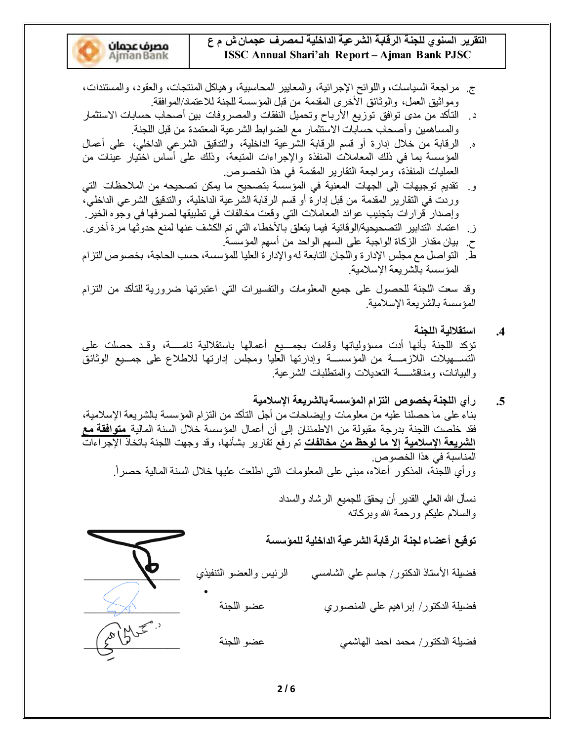التقرير السنوى للجنة الرقابة الشرعية الداخلية لـمصرف عجما*ن ش* م ع **ISSC Annual Shari'ah Report - Ajman Bank PJSC** 

- **مصرف عجمان**<br>Ajman Bank
- ج ِ مراجعة السياسات، واللوائح الإجرائية، والمعايير المحاسبية، وهياكل المنتجات، والعقود، والمستندات، وموانيق العمل، والوثائق الأخرى المقدمة من قبل المؤسسة للجنة للاعتماد/الموافقة.
- د ِ التأكد من مدى توافق توزيع الأرباح وتحميل النفقات والمصروفات بين أصحاب حسابات الاستثمار والمساهمين وأصحاب حسابات الاستثمار مع الضوابط الشرعية المعتمدة من قبل اللجنة.
- ه. الرقابة من خلال إدارة أو قسم الرقابة الشرعية الداخلية، والتدقيق الشرعي الداخلي، على أعمال المؤسسة بما في ذلك المعاملات المنفذة والإجراءات المتبعة، وذلك على أسَّاس اختَيار عينات من العمليات المنفذة، ومراجعة النقارير المقدمة في هذا الخصوص.
- و. تقديم توجيهات إلى الجهات المعنية في المؤسسة بتصحيح ما يمكن تصحيحه من الملاحظات التي وردت في التقارير المقدمة من قبل إدارة أو قسم الرقابة الشرعية الداخلية، والتدقيق الشرعي الداخلي، وإصدار قرارات بتجنيب عوائد المعاملات التي وقعت مخالفات في تطبيقها لصرفها في وجوه الخير ـ
- ز . اعتماد التدابير التصحيحية/الوقائية فيما يتعلق بالأخطاء التي تم الكشف عنها لمنع حدوثها مرة أخرى .
- ح بيان مقدار الزكاة الواجبة على السهم الواحد من أسهم المؤسسة. طّ. التواصل مع مجلس الإدارة واللجان التابعة له والإدارة العليا للمؤسسة، حسب الحاجة، بخصوص التزام المؤسسة بالشريعة الإسلامية.

وقد سعت اللجنة للحصول على جميع المعلومات والتفسيرات التي اعتبرتها ضرورية للتأكد من التزام المؤسسة بالشريعة الإسلامية.

- 4. استقلالية اللجنة تؤكد اللجنة بأنها أدت مسؤولياتها وقامت بجمسيع أعمالها باستقلالية تامسة، وقـد حصلت علمي التســهيلات اللازمــــة من المؤسســة وإدارتها العليا ومجلس إدارتها للاطلاع على جمــيع الوثائق والبيانات، ومناقشـــــة التعديلات والمتطلبات الشرعية.
- **ΔϴϣϼγϹΔόϳήθϟΎΑΔδγΆϤϟϡΰΘϟιϮμΨΑΔϨΠϠϟϱέ** بناء على ما حصلنا عليه من معلومات وإيضاحات من أجل التأكد من النزام المؤسسة بالشريعة الإسلامية، فقد خلصت اللجنة بدرجة مقبولة من الاطمئنان إلى أن أعمال المؤسسة خلال السنة المالية<mark> متوافقة مع</mark> ا**لشريعة الإسلامية إلا ما لوحظ من مخالفات** تم رفع تقارير بشأنها، وقد وجهت اللجنة باتخاذ الإجراءات المناسبة في هذا الخصوص. ورأي اللجنة، المذكور أعلاه، مبني على المعلومات التي اطلعت عليها خلال السنة المالية حصراً.

نسأل الله العلمي القدير أن يحقق للجميع الرشاد والسداد والسلام عليكم ورحمة الله وبركاته

تو <u>قي</u>ع أعضاء لجنة الر قابة الشر عية الداخلية للموّسسة

فضيلة الأستاذ الدكتور/ جاسم على الشامسي الرئيس والعضو التنفيذي

BBBBBBBBBBBBBBBB ΔϨΠϠϟϮπϋ ϱέϮμϨϤϟ ϲϠϋϢϴϫήΑ·έϮΘϛΪϟΔϠϴπϓ

BBBBBBBBBBBBBBBB ΔϨΠϠϟϮπϋ ϲϤηΎϬϟ ΪϤΣ ΪϤΤϣέϮΘϛΪϟΔϠϴπϓ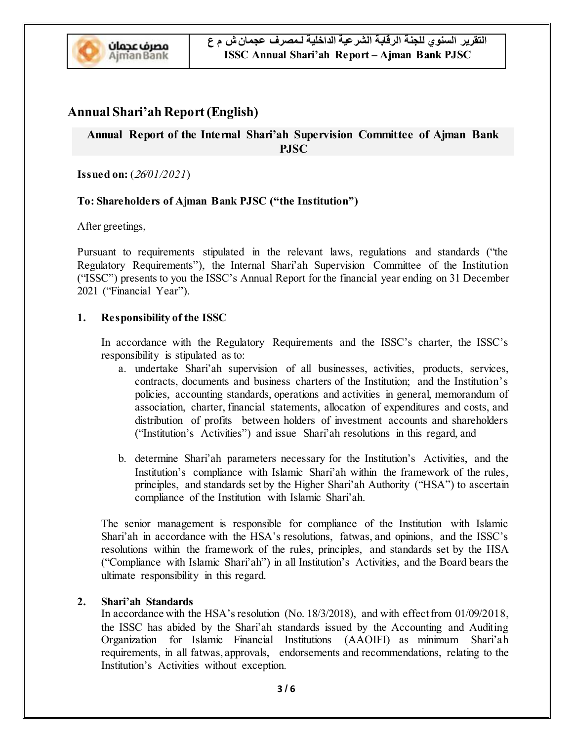

# **Annual Shari'ah Report (English)**

# **Annual Report of the Internal Shari'ah Supervision Committee of Ajman Bank PJSC**

**Issued on:** (*/01/2021*)

## **To: Shareholders of Ajman Bank PJSC** ("the Institution")

After greetings,

Pursuant to requirements stipulated in the relevant laws, regulations and standards ("the Regulatory Requirements"), the Internal Shari'ah Supervision Committee of the Institution ("ISSC") presents to you the ISSC's Annual Report for the financial year ending on 31 December 2021 ("Financial Year").

#### **1. Responsibility of the ISSC**

In accordance with the Regulatory Requirements and the ISSC's charter, the ISSC's responsibility is stipulated as to:

- a. undertake Shari'ah supervision of all businesses, activities, products, services, contracts, documents and business charters of the Institution; and the Institution's policies, accounting standards, operations and activities in general, memorandum of association, charter, financial statements, allocation of expenditures and costs, and distribution of profits between holders of investment accounts and shareholders ("Institution's Activities") and issue Shari'ah resolutions in this regard, and
- b. determine Shari'ah parameters necessary for the Institution's Activities, and the Institution's compliance with Islamic Shari'ah within the framework of the rules, principles, and standards set by the Higher Shari'ah Authority ("HSA") to ascertain compliance of the Institution with Islamic Shari'ah.

The senior management is responsible for compliance of the Institution with Islamic Shari'ah in accordance with the HSA's resolutions, fatwas, and opinions, and the ISSC's resolutions within the framework of the rules, principles, and standards set by the HSA ("Compliance with Islamic Shari'ah") in all Institution's Activities, and the Board bears the ultimate responsibility in this regard.

#### 2. **Shari'ah Standards**

In accordance with the HSA's resolution (No.  $18/3/2018$ ), and with effect from  $01/09/2018$ , the ISSC has abided by the Shari'ah standards issued by the Accounting and Auditing Organization for Islamic Financial Institutions (AAOIFI) as minimum Shari'ah requirements, in all fatwas, approvals, endorsements and recommendations, relating to the Institution's Activities without exception.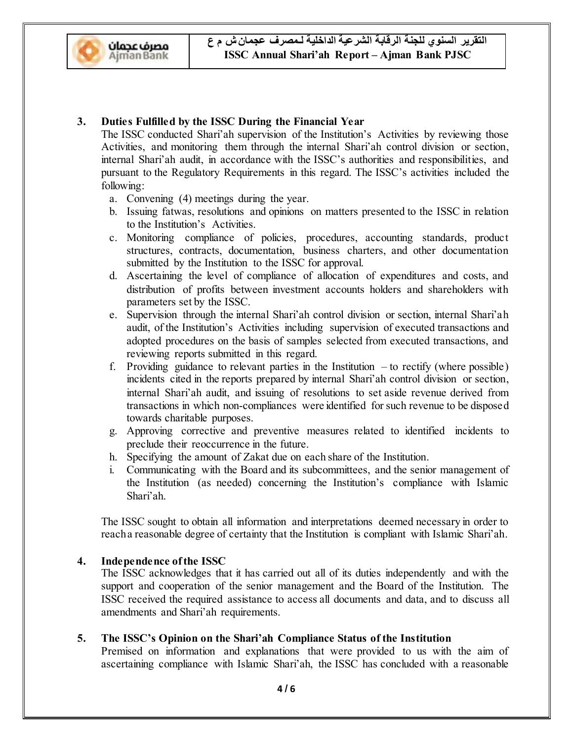

# **3. Duties Fulfilled by the ISSC During the Financial Year**

The ISSC conducted Shari'ah supervision of the Institution's Activities by reviewing those Activities, and monitoring them through the internal Shari'ah control division or section, internal Shari'ah audit, in accordance with the ISSC's authorities and responsibilities, and pursuant to the Regulatory Requirements in this regard. The ISSC's activities included the following:

- a. Convening (4) meetings during the year.
- b. Issuing fatwas, resolutions and opinions on matters presented to the ISSC in relation to the Institution's Activities.
- c. Monitoring compliance of policies, procedures, accounting standards, product structures, contracts, documentation, business charters, and other documentation submitted by the Institution to the ISSC for approval.
- d. Ascertaining the level of compliance of allocation of expenditures and costs, and distribution of profits between investment accounts holders and shareholders with parameters set by the ISSC.
- e. Supervision through the internal Shari'ah control division or section, internal Shari'ah audit, of the Institution's Activities including supervision of executed transactions and adopted procedures on the basis of samples selected from executed transactions, and reviewing reports submitted in this regard.
- f. Providing guidance to relevant parties in the Institution  $-$  to rectify (where possible) incidents cited in the reports prepared by internal Shari'ah control division or section, internal Shari'ah audit, and issuing of resolutions to set aside revenue derived from transactions in which non-compliances were identified for such revenue to be disposed towards charitable purposes.
- g. Approving corrective and preventive measures related to identified incidents to preclude their reoccurrence in the future.
- h. Specifying the amount of Zakat due on each share of the Institution.
- i. Communicating with the Board and its subcommittees, and the senior management of the Institution (as needed) concerning the Institution's compliance with Islamic Shari'ah.

The ISSC sought to obtain all information and interpretations deemed necessary in order to reach a reasonable degree of certainty that the Institution is compliant with Islamic Shari'ah.

#### **4. Independence of the ISSC**

The ISSC acknowledges that it has carried out all of its duties independently and with the support and cooperation of the senior management and the Board of the Institution. The ISSC received the required assistance to access all documents and data, and to discuss all amendments and Shari'ah requirements.

### **5.** The ISSC's Opinion on the Shari'ah Compliance Status of the Institution

Premised on information and explanations that were provided to us with the aim of ascertaining compliance with Islamic Shari'ah, the ISSC has concluded with a reasonable